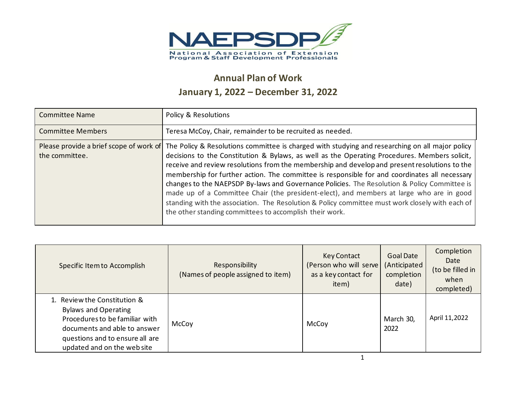

## **Annual Plan of Work January 1, 2022 – December 31, 2022**

| <b>Committee Name</b>    | Policy & Resolutions                                                                                                                                                                                                                                                                                                                                                                                                                                                                                                                                                                                                                                                                                                                                                                                 |
|--------------------------|------------------------------------------------------------------------------------------------------------------------------------------------------------------------------------------------------------------------------------------------------------------------------------------------------------------------------------------------------------------------------------------------------------------------------------------------------------------------------------------------------------------------------------------------------------------------------------------------------------------------------------------------------------------------------------------------------------------------------------------------------------------------------------------------------|
| <b>Committee Members</b> | Teresa McCoy, Chair, remainder to be recruited as needed.                                                                                                                                                                                                                                                                                                                                                                                                                                                                                                                                                                                                                                                                                                                                            |
| the committee.           | Please provide a brief scope of work of The Policy & Resolutions committee is charged with studying and researching on all major policy<br>decisions to the Constitution & Bylaws, as well as the Operating Procedures. Members solicit,<br>receive and review resolutions from the membership and develop and present resolutions to the<br>membership for further action. The committee is responsible for and coordinates all necessary<br>changes to the NAEPSDP By-laws and Governance Policies. The Resolution & Policy Committee is<br>made up of a Committee Chair (the president-elect), and members at large who are in good<br>standing with the association. The Resolution & Policy committee must work closely with each of<br>the other standing committees to accomplish their work. |

| Specific Item to Accomplish                                                                                                                                                                     | Responsibility<br>(Names of people assigned to item) | <b>Key Contact</b><br>(Person who will serve)<br>as a key contact for<br>item) | <b>Goal Date</b><br>(Anticipated<br>completion<br>date) | Completion<br>Date<br>(to be filled in<br>when<br>completed) |
|-------------------------------------------------------------------------------------------------------------------------------------------------------------------------------------------------|------------------------------------------------------|--------------------------------------------------------------------------------|---------------------------------------------------------|--------------------------------------------------------------|
| 1. Review the Constitution &<br><b>Bylaws and Operating</b><br>Procedures to be familiar with<br>documents and able to answer<br>questions and to ensure all are<br>updated and on the web site | McCoy                                                | McCoy                                                                          | March 30,<br>2022                                       | April 11,2022                                                |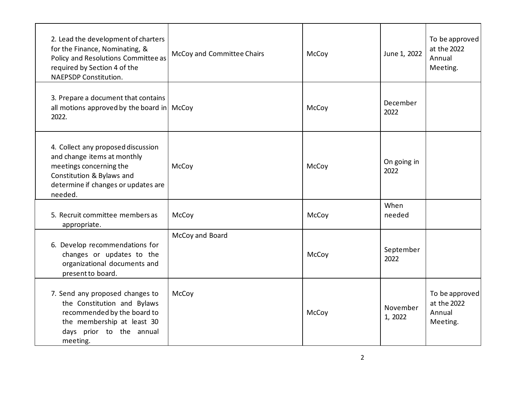| 2. Lead the development of charters<br>for the Finance, Nominating, &<br>Policy and Resolutions Committee as<br>required by Section 4 of the<br><b>NAEPSDP Constitution.</b> | McCoy and Committee Chairs | McCoy | June 1, 2022        | To be approved<br>at the 2022<br>Annual<br>Meeting. |
|------------------------------------------------------------------------------------------------------------------------------------------------------------------------------|----------------------------|-------|---------------------|-----------------------------------------------------|
| 3. Prepare a document that contains<br>all motions approved by the board in $\vert$ McCoy<br>2022.                                                                           |                            | McCoy | December<br>2022    |                                                     |
| 4. Collect any proposed discussion<br>and change items at monthly<br>meetings concerning the<br>Constitution & Bylaws and<br>determine if changes or updates are<br>needed.  | McCoy                      | McCoy | On going in<br>2022 |                                                     |
| 5. Recruit committee members as<br>appropriate.                                                                                                                              | McCoy                      | McCoy | When<br>needed      |                                                     |
| 6. Develop recommendations for<br>changes or updates to the<br>organizational documents and<br>present to board.                                                             | McCoy and Board            | McCoy | September<br>2022   |                                                     |
| 7. Send any proposed changes to<br>the Constitution and Bylaws<br>recommended by the board to<br>the membership at least 30<br>days prior to the annual<br>meeting.          | McCoy                      | McCoy | November<br>1, 2022 | To be approved<br>at the 2022<br>Annual<br>Meeting. |